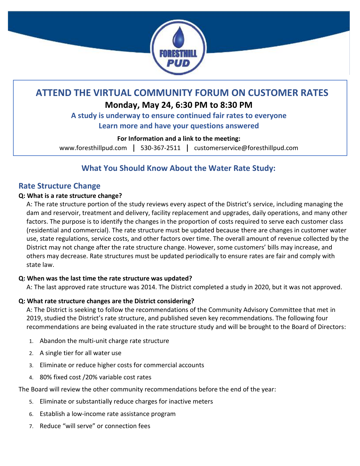

# **ATTEND THE VIRTUAL COMMUNITY FORUM ON CUSTOMER RATES**

# **Monday, May 24, 6:30 PM to 8:30 PM**

# **A study is underway to ensure continued fair rates to everyone Learn more and have your questions answered**

## **For Information and a link to the meeting:**

[www.foresthillpud.com](http://www.foresthillpud.com/) | 530-367-2511 | [customerservice@foresthillpud.com](mailto:customerservice@foresthillpud.com)

# **What You Should Know About the Water Rate Study:**

# **Rate Structure Change**

## **Q: What is a rate structure change?**

A: The rate structure portion of the study reviews every aspect of the District's service, including managing the dam and reservoir, treatment and delivery, facility replacement and upgrades, daily operations, and many other factors. The purpose is to identify the changes in the proportion of costs required to serve each customer class (residential and commercial). The rate structure must be updated because there are changes in customer water use, state regulations, service costs, and other factors over time. The overall amount of revenue collected by the District may not change after the rate structure change. However, some customers' bills may increase, and others may decrease. Rate structures must be updated periodically to ensure rates are fair and comply with state law.

## **Q: When was the last time the rate structure was updated?**

A: The last approved rate structure was 2014. The District completed a study in 2020, but it was not approved.

## **Q: What rate structure changes are the District considering?**

A: The District is seeking to follow the recommendations of the Community Advisory Committee that met in 2019, studied the District's rate structure, and published seven key recommendations. The following four recommendations are being evaluated in the rate structure study and will be brought to the Board of Directors:

- 1. Abandon the multi-unit charge rate structure
- 2. A single tier for all water use
- 3. Eliminate or reduce higher costs for commercial accounts
- 4. 80% fixed cost /20% variable cost rates

The Board will review the other community recommendations before the end of the year:

- 5. Eliminate or substantially reduce charges for inactive meters
- 6. Establish a low-income rate assistance program
- 7. Reduce "will serve" or connection fees